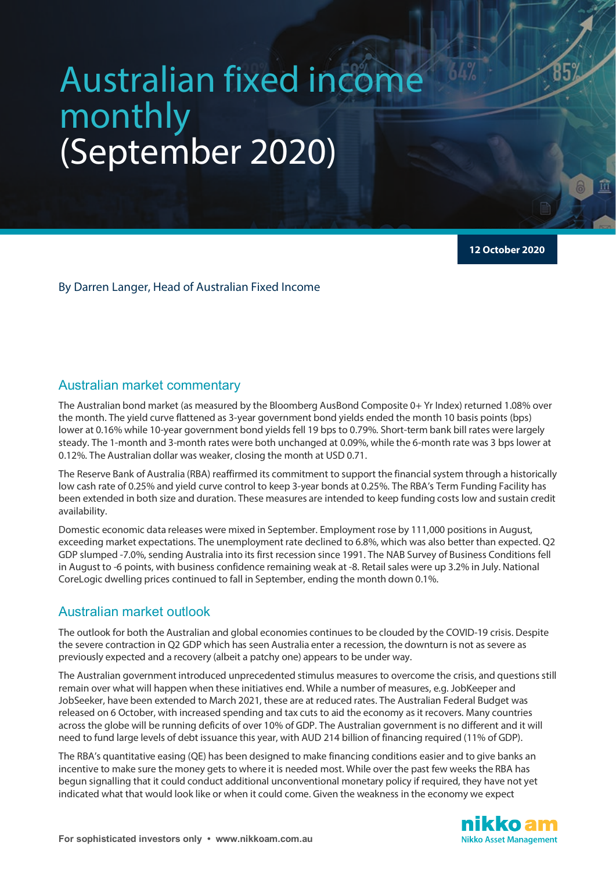# Australian fixed income monthly (September 2020)

**12 October 2020**

By Darren Langer, Head of Australian Fixed Income

# Australian market commentary

The Australian bond market (as measured by the Bloomberg AusBond Composite 0+ Yr Index) returned 1.08% over the month. The yield curve flattened as 3-year government bond yields ended the month 10 basis points (bps) lower at 0.16% while 10-year government bond yields fell 19 bps to 0.79%. Short-term bank bill rates were largely steady. The 1-month and 3-month rates were both unchanged at 0.09%, while the 6-month rate was 3 bps lower at 0.12%. The Australian dollar was weaker, closing the month at USD 0.71.

The Reserve Bank of Australia (RBA) reaffirmed its commitment to support the financial system through a historically low cash rate of 0.25% and yield curve control to keep 3-year bonds at 0.25%. The RBA's Term Funding Facility has been extended in both size and duration. These measures are intended to keep funding costs low and sustain credit availability.

Domestic economic data releases were mixed in September. Employment rose by 111,000 positions in August, exceeding market expectations. The unemployment rate declined to 6.8%, which was also better than expected. Q2 GDP slumped -7.0%, sending Australia into its first recession since 1991. The NAB Survey of Business Conditions fell in August to -6 points, with business confidence remaining weak at -8. Retail sales were up 3.2% in July. National CoreLogic dwelling prices continued to fall in September, ending the month down 0.1%.

# Australian market outlook

The outlook for both the Australian and global economies continues to be clouded by the COVID-19 crisis. Despite the severe contraction in Q2 GDP which has seen Australia enter a recession, the downturn is not as severe as previously expected and a recovery (albeit a patchy one) appears to be under way.

The Australian government introduced unprecedented stimulus measures to overcome the crisis, and questions still remain over what will happen when these initiatives end. While a number of measures, e.g. JobKeeper and JobSeeker, have been extended to March 2021, these are at reduced rates. The Australian Federal Budget was released on 6 October, with increased spending and tax cuts to aid the economy as it recovers. Many countries across the globe will be running deficits of over 10% of GDP. The Australian government is no different and it will need to fund large levels of debt issuance this year, with AUD 214 billion of financing required (11% of GDP).

The RBA's quantitative easing (QE) has been designed to make financing conditions easier and to give banks an incentive to make sure the money gets to where it is needed most. While over the past few weeks the RBA has begun signalling that it could conduct additional unconventional monetary policy if required, they have not yet indicated what that would look like or when it could come. Given the weakness in the economy we expect

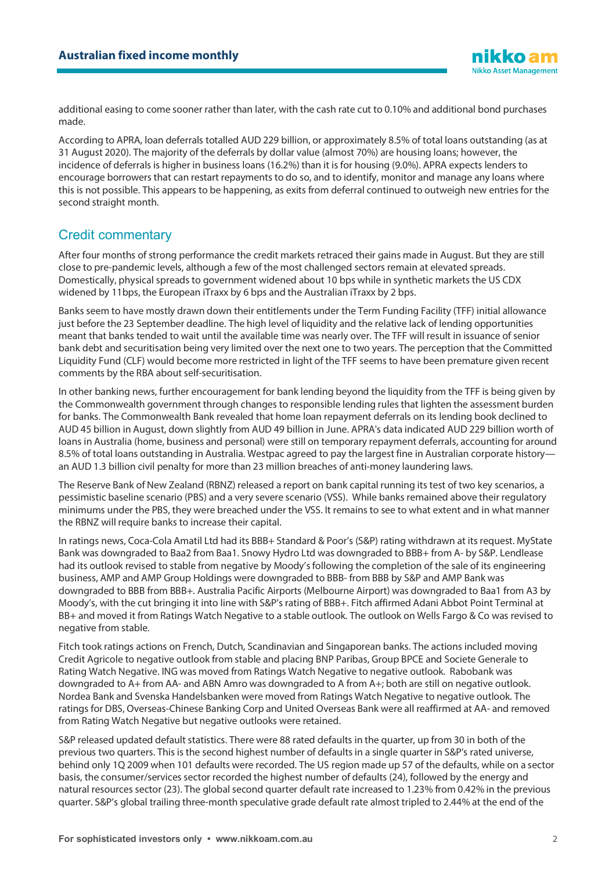additional easing to come sooner rather than later, with the cash rate cut to 0.10% and additional bond purchases made.

According to APRA, loan deferrals totalled AUD 229 billion, or approximately 8.5% of total loans outstanding (as at 31 August 2020). The majority of the deferrals by dollar value (almost 70%) are housing loans; however, the incidence of deferrals is higher in business loans (16.2%) than it is for housing (9.0%). APRA expects lenders to encourage borrowers that can restart repayments to do so, and to identify, monitor and manage any loans where this is not possible. This appears to be happening, as exits from deferral continued to outweigh new entries for the second straight month.

# Credit commentary

After four months of strong performance the credit markets retraced their gains made in August. But they are still close to pre-pandemic levels, although a few of the most challenged sectors remain at elevated spreads. Domestically, physical spreads to government widened about 10 bps while in synthetic markets the US CDX widened by 11bps, the European iTraxx by 6 bps and the Australian iTraxx by 2 bps.

Banks seem to have mostly drawn down their entitlements under the Term Funding Facility (TFF) initial allowance just before the 23 September deadline. The high level of liquidity and the relative lack of lending opportunities meant that banks tended to wait until the available time was nearly over. The TFF will result in issuance of senior bank debt and securitisation being very limited over the next one to two years. The perception that the Committed Liquidity Fund (CLF) would become more restricted in light of the TFF seems to have been premature given recent comments by the RBA about self-securitisation.

In other banking news, further encouragement for bank lending beyond the liquidity from the TFF is being given by the Commonwealth government through changes to responsible lending rules that lighten the assessment burden for banks. The Commonwealth Bank revealed that home loan repayment deferrals on its lending book declined to AUD 45 billion in August, down slightly from AUD 49 billion in June. APRA's data indicated AUD 229 billion worth of loans in Australia (home, business and personal) were still on temporary repayment deferrals, accounting for around 8.5% of total loans outstanding in Australia. Westpac agreed to pay the largest fine in Australian corporate history an AUD 1.3 billion civil penalty for more than 23 million breaches of anti-money laundering laws.

The Reserve Bank of New Zealand (RBNZ) released a report on bank capital running its test of two key scenarios, a pessimistic baseline scenario (PBS) and a very severe scenario (VSS). While banks remained above their regulatory minimums under the PBS, they were breached under the VSS. It remains to see to what extent and in what manner the RBNZ will require banks to increase their capital.

In ratings news, Coca-Cola Amatil Ltd had its BBB+ Standard & Poor's (S&P) rating withdrawn at its request. MyState Bank was downgraded to Baa2 from Baa1. Snowy Hydro Ltd was downgraded to BBB+ from A- by S&P. Lendlease had its outlook revised to stable from negative by Moody's following the completion of the sale of its engineering business, AMP and AMP Group Holdings were downgraded to BBB- from BBB by S&P and AMP Bank was downgraded to BBB from BBB+. Australia Pacific Airports (Melbourne Airport) was downgraded to Baa1 from A3 by Moody's, with the cut bringing it into line with S&P's rating of BBB+. Fitch affirmed Adani Abbot Point Terminal at BB+ and moved it from Ratings Watch Negative to a stable outlook. The outlook on Wells Fargo & Co was revised to negative from stable.

Fitch took ratings actions on French, Dutch, Scandinavian and Singaporean banks. The actions included moving Credit Agricole to negative outlook from stable and placing BNP Paribas, Group BPCE and Societe Generale to Rating Watch Negative. ING was moved from Ratings Watch Negative to negative outlook. Rabobank was downgraded to A+ from AA- and ABN Amro was downgraded to A from A+; both are still on negative outlook. Nordea Bank and Svenska Handelsbanken were moved from Ratings Watch Negative to negative outlook. The ratings for DBS, Overseas-Chinese Banking Corp and United Overseas Bank were all reaffirmed at AA- and removed from Rating Watch Negative but negative outlooks were retained.

S&P released updated default statistics. There were 88 rated defaults in the quarter, up from 30 in both of the previous two quarters. This is the second highest number of defaults in a single quarter in S&P's rated universe, behind only 1Q 2009 when 101 defaults were recorded. The US region made up 57 of the defaults, while on a sector basis, the consumer/services sector recorded the highest number of defaults (24), followed by the energy and natural resources sector (23). The global second quarter default rate increased to 1.23% from 0.42% in the previous quarter. S&P's global trailing three-month speculative grade default rate almost tripled to 2.44% at the end of the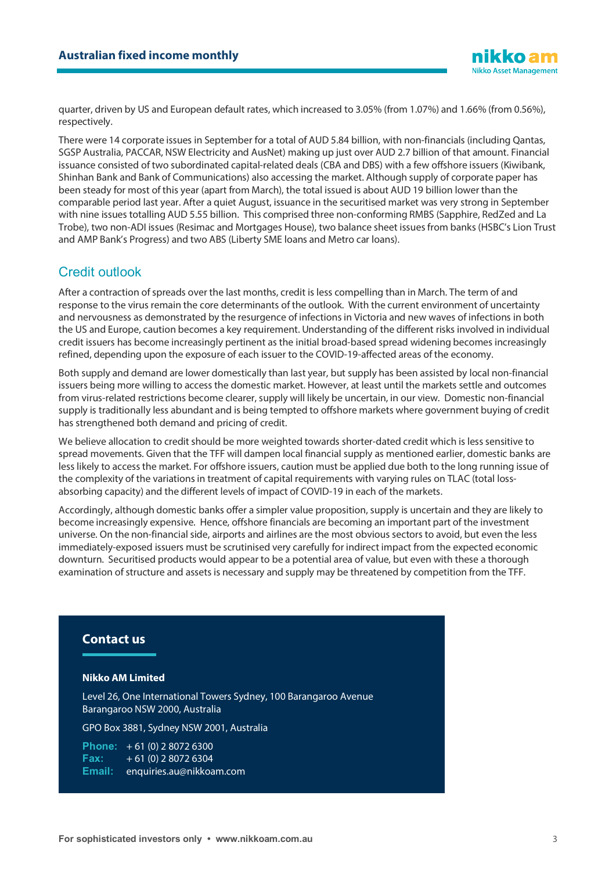quarter, driven by US and European default rates, which increased to 3.05% (from 1.07%) and 1.66% (from 0.56%), respectively.

There were 14 corporate issues in September for a total of AUD 5.84 billion, with non-financials (including Qantas, SGSP Australia, PACCAR, NSW Electricity and AusNet) making up just over AUD 2.7 billion of that amount. Financial issuance consisted of two subordinated capital-related deals (CBA and DBS) with a few offshore issuers (Kiwibank, Shinhan Bank and Bank of Communications) also accessing the market. Although supply of corporate paper has been steady for most of this year (apart from March), the total issued is about AUD 19 billion lower than the comparable period last year. After a quiet August, issuance in the securitised market was very strong in September with nine issues totalling AUD 5.55 billion. This comprised three non-conforming RMBS (Sapphire, RedZed and La Trobe), two non-ADI issues (Resimac and Mortgages House), two balance sheet issues from banks (HSBC's Lion Trust and AMP Bank's Progress) and two ABS (Liberty SME loans and Metro car loans).

# Credit outlook

After a contraction of spreads over the last months, credit is less compelling than in March. The term of and response to the virus remain the core determinants of the outlook. With the current environment of uncertainty and nervousness as demonstrated by the resurgence of infections in Victoria and new waves of infections in both the US and Europe, caution becomes a key requirement. Understanding of the different risks involved in individual credit issuers has become increasingly pertinent as the initial broad-based spread widening becomes increasingly refined, depending upon the exposure of each issuer to the COVID-19-affected areas of the economy.

Both supply and demand are lower domestically than last year, but supply has been assisted by local non-financial issuers being more willing to access the domestic market. However, at least until the markets settle and outcomes from virus-related restrictions become clearer, supply will likely be uncertain, in our view. Domestic non-financial supply is traditionally less abundant and is being tempted to offshore markets where government buying of credit has strengthened both demand and pricing of credit.

We believe allocation to credit should be more weighted towards shorter-dated credit which is less sensitive to spread movements. Given that the TFF will dampen local financial supply as mentioned earlier, domestic banks are less likely to access the market. For offshore issuers, caution must be applied due both to the long running issue of the complexity of the variations in treatment of capital requirements with varying rules on TLAC (total lossabsorbing capacity) and the different levels of impact of COVID-19 in each of the markets.

Accordingly, although domestic banks offer a simpler value proposition, supply is uncertain and they are likely to become increasingly expensive. Hence, offshore financials are becoming an important part of the investment universe. On the non-financial side, airports and airlines are the most obvious sectors to avoid, but even the less immediately-exposed issuers must be scrutinised very carefully for indirect impact from the expected economic downturn. Securitised products would appear to be a potential area of value, but even with these a thorough examination of structure and assets is necessary and supply may be threatened by competition from the TFF.

# **Contact us**

#### **Nikko AM Limited**

Level 26, One International Towers Sydney, 100 Barangaroo Avenue Barangaroo NSW 2000, Australia

GPO Box 3881, Sydney NSW 2001, Australia

**Phone:** +61 (0) 2 8072 6300<br>**Fax:** +61 (0) 2 8072 6304 **Fax:** + 61 (0) 2 8072 6304 **Email:** enquiries.au@nikkoam.com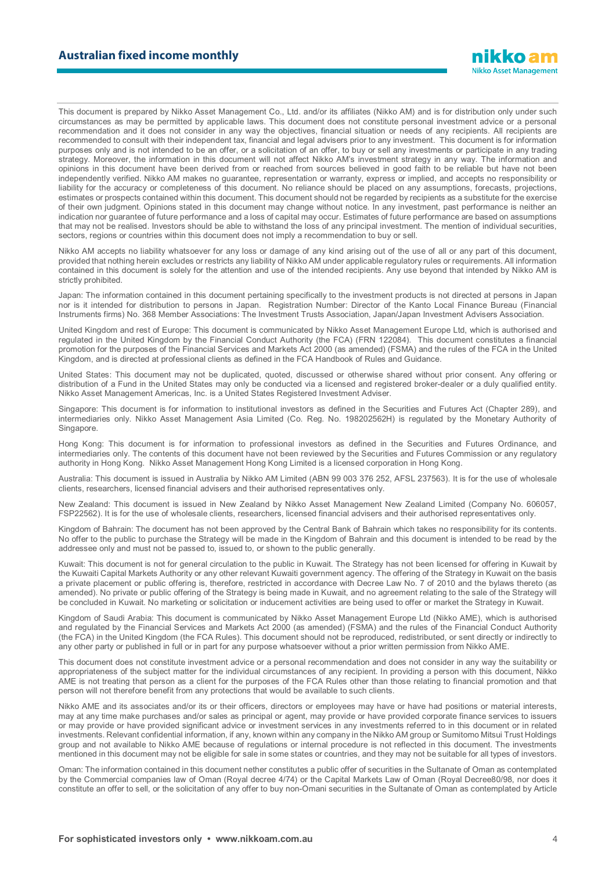This document is prepared by Nikko Asset Management Co., Ltd. and/or its affiliates (Nikko AM) and is for distribution only under such circumstances as may be permitted by applicable laws. This document does not constitute personal investment advice or a personal recommendation and it does not consider in any way the objectives, financial situation or needs of any recipients. All recipients are recommended to consult with their independent tax, financial and legal advisers prior to any investment. This document is for information purposes only and is not intended to be an offer, or a solicitation of an offer, to buy or sell any investments or participate in any trading strategy. Moreover, the information in this document will not affect Nikko AM's investment strategy in any way. The information and opinions in this document have been derived from or reached from sources believed in good faith to be reliable but have not been independently verified. Nikko AM makes no guarantee, representation or warranty, express or implied, and accepts no responsibility or liability for the accuracy or completeness of this document. No reliance should be placed on any assumptions, forecasts, projections, estimates or prospects contained within this document. This document should not be regarded by recipients as a substitute for the exercise of their own judgment. Opinions stated in this document may change without notice. In any investment, past performance is neither an indication nor guarantee of future performance and a loss of capital may occur. Estimates of future performance are based on assumptions that may not be realised. Investors should be able to withstand the loss of any principal investment. The mention of individual securities, sectors, regions or countries within this document does not imply a recommendation to buy or sell.

Nikko AM accepts no liability whatsoever for any loss or damage of any kind arising out of the use of all or any part of this document, provided that nothing herein excludes or restricts any liability of Nikko AM under applicable regulatory rules or requirements. All information contained in this document is solely for the attention and use of the intended recipients. Any use beyond that intended by Nikko AM is strictly prohibited.

Japan: The information contained in this document pertaining specifically to the investment products is not directed at persons in Japan nor is it intended for distribution to persons in Japan. Registration Number: Director of the Kanto Local Finance Bureau (Financial Instruments firms) No. 368 Member Associations: The Investment Trusts Association, Japan/Japan Investment Advisers Association.

United Kingdom and rest of Europe: This document is communicated by Nikko Asset Management Europe Ltd, which is authorised and regulated in the United Kingdom by the Financial Conduct Authority (the FCA) (FRN 122084). This document constitutes a financial promotion for the purposes of the Financial Services and Markets Act 2000 (as amended) (FSMA) and the rules of the FCA in the United Kingdom, and is directed at professional clients as defined in the FCA Handbook of Rules and Guidance.

United States: This document may not be duplicated, quoted, discussed or otherwise shared without prior consent. Any offering or distribution of a Fund in the United States may only be conducted via a licensed and registered broker-dealer or a duly qualified entity. Nikko Asset Management Americas, Inc. is a United States Registered Investment Adviser.

Singapore: This document is for information to institutional investors as defined in the Securities and Futures Act (Chapter 289), and intermediaries only. Nikko Asset Management Asia Limited (Co. Reg. No. 198202562H) is regulated by the Monetary Authority of Singapore.

Hong Kong: This document is for information to professional investors as defined in the Securities and Futures Ordinance, and intermediaries only. The contents of this document have not been reviewed by the Securities and Futures Commission or any regulatory authority in Hong Kong. Nikko Asset Management Hong Kong Limited is a licensed corporation in Hong Kong.

Australia: This document is issued in Australia by Nikko AM Limited (ABN 99 003 376 252, AFSL 237563). It is for the use of wholesale clients, researchers, licensed financial advisers and their authorised representatives only.

New Zealand: This document is issued in New Zealand by Nikko Asset Management New Zealand Limited (Company No. 606057, FSP22562). It is for the use of wholesale clients, researchers, licensed financial advisers and their authorised representatives only.

Kingdom of Bahrain: The document has not been approved by the Central Bank of Bahrain which takes no responsibility for its contents. No offer to the public to purchase the Strategy will be made in the Kingdom of Bahrain and this document is intended to be read by the addressee only and must not be passed to, issued to, or shown to the public generally.

Kuwait: This document is not for general circulation to the public in Kuwait. The Strategy has not been licensed for offering in Kuwait by the Kuwaiti Capital Markets Authority or any other relevant Kuwaiti government agency. The offering of the Strategy in Kuwait on the basis a private placement or public offering is, therefore, restricted in accordance with Decree Law No. 7 of 2010 and the bylaws thereto (as amended). No private or public offering of the Strategy is being made in Kuwait, and no agreement relating to the sale of the Strategy will be concluded in Kuwait. No marketing or solicitation or inducement activities are being used to offer or market the Strategy in Kuwait.

Kingdom of Saudi Arabia: This document is communicated by Nikko Asset Management Europe Ltd (Nikko AME), which is authorised and regulated by the Financial Services and Markets Act 2000 (as amended) (FSMA) and the rules of the Financial Conduct Authority (the FCA) in the United Kingdom (the FCA Rules). This document should not be reproduced, redistributed, or sent directly or indirectly to any other party or published in full or in part for any purpose whatsoever without a prior written permission from Nikko AME.

This document does not constitute investment advice or a personal recommendation and does not consider in any way the suitability or appropriateness of the subject matter for the individual circumstances of any recipient. In providing a person with this document, Nikko AME is not treating that person as a client for the purposes of the FCA Rules other than those relating to financial promotion and that person will not therefore benefit from any protections that would be available to such clients.

Nikko AME and its associates and/or its or their officers, directors or employees may have or have had positions or material interests, may at any time make purchases and/or sales as principal or agent, may provide or have provided corporate finance services to issuers or may provide or have provided significant advice or investment services in any investments referred to in this document or in related investments. Relevant confidential information, if any, known within any company in the Nikko AM group or Sumitomo Mitsui Trust Holdings group and not available to Nikko AME because of regulations or internal procedure is not reflected in this document. The investments mentioned in this document may not be eligible for sale in some states or countries, and they may not be suitable for all types of investors.

Oman: The information contained in this document nether constitutes a public offer of securities in the Sultanate of Oman as contemplated by the Commercial companies law of Oman (Royal decree 4/74) or the Capital Markets Law of Oman (Royal Decree80/98, nor does it constitute an offer to sell, or the solicitation of any offer to buy non-Omani securities in the Sultanate of Oman as contemplated by Article